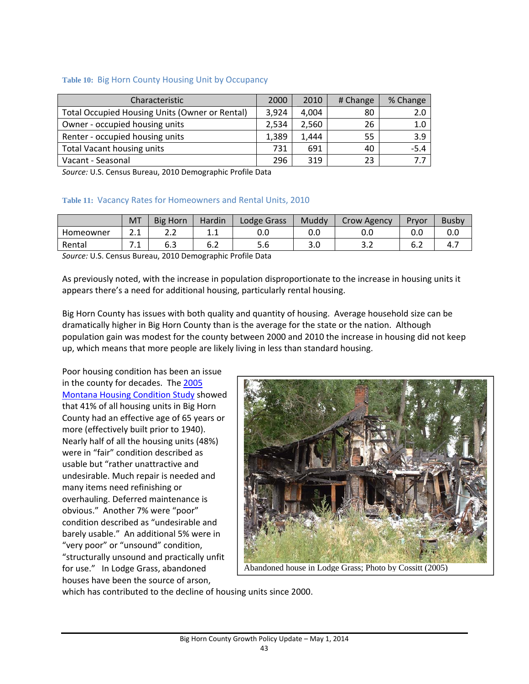### **Table 10:** Big Horn County Housing Unit by Occupancy

| <b>Characteristic</b>                          | 2000  | 2010  | # Change | % Change |
|------------------------------------------------|-------|-------|----------|----------|
| Total Occupied Housing Units (Owner or Rental) | 3,924 | 4,004 | 80       | 2.0      |
| Owner - occupied housing units                 | 2,534 | 2,560 | 26       | 1.0      |
| Renter - occupied housing units                | 1,389 | 1,444 | 55       | 3.9      |
| Total Vacant housing units                     | 731   | 691   | 40       | $-5.4$   |
| Vacant - Seasonal                              | 296   | 319   | 23       | 77       |

*Source:* U.S. Census Bureau, 2010 Demographic Profile Data

### **Table 11:** Vacancy Rates for Homeowners and Rental Units, 2010

|             | <b>MT</b>                | <b>Big Horn</b> | Hardin  | Lodge Grass                         | Muddy | Crow Agency | Prvor | <b>Busby</b> |
|-------------|--------------------------|-----------------|---------|-------------------------------------|-------|-------------|-------|--------------|
| Homeowner   | ີ 1<br><u></u>           | ے ۔             | <b></b> | 0.0                                 | 0.0   | 0.0         | 0.C   | v.v          |
| Rental      | . .                      | b.3             | 6.2     | o.c                                 | 3.0   | ے . د       | b.Z   | 4.,          |
| .<br>$\sim$ | $\overline{\phantom{a}}$ | ------          |         | $\cdots$ $\cdots$ $\cdots$ $\cdots$ |       |             |       |              |

*Source:* U.S. Census Bureau, 2010 Demographic Profile Data

As previously noted, with the increase in population disproportionate to the increase in housing units it appears there's a need for additional housing, particularly rental housing.

Big Horn County has issues with both quality and quantity of housing. Average household size can be dramatically higher in Big Horn County than is the average for the state or the nation. Although population gain was modest for the county between 2000 and 2010 the increase in housing did not keep up, which means that more people are likely living in less than standard housing.

Poor housing condition has been an issue in the county for decades. The 2005 Montana Housing Condition Study showed that 41% of all housing units in Big Horn County had an effective age of 65 years or more (effectively built prior to 1940). Nearly half of all the housing units (48%) were in "fair" condition described as usable but "rather unattractive and undesirable. Much repair is needed and many items need refinishing or overhauling. Deferred maintenance is obvious." Another 7% were "poor" condition described as "undesirable and barely usable." An additional 5% were in "very poor" or "unsound" condition, "structurally unsound and practically unfit for use." In Lodge Grass, abandoned houses have been the source of arson,



Abandoned house in Lodge Grass; Photo by Cossitt (2005)

which has contributed to the decline of housing units since 2000.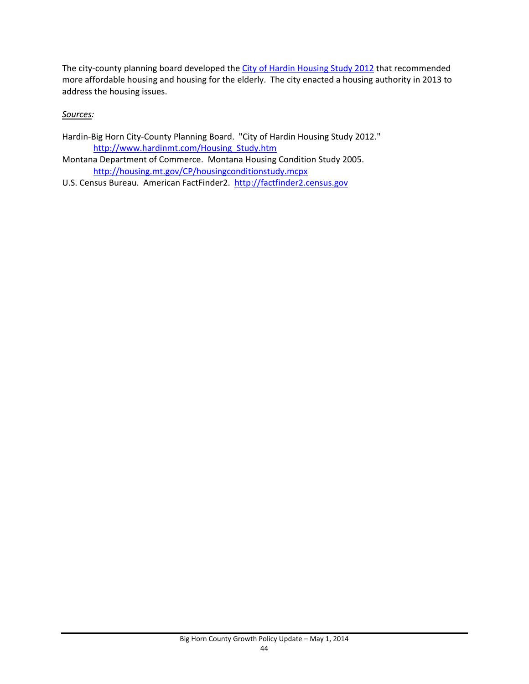The city-county planning board developed the City of Hardin Housing Study 2012 that recommended more affordable housing and housing for the elderly. The city enacted a housing authority in 2013 to address the housing issues.

# *Sources:*

- Hardin-Big Horn City-County Planning Board. "City of Hardin Housing Study 2012." http://www.hardinmt.com/Housing\_Study.htm
- Montana Department of Commerce. Montana Housing Condition Study 2005. http://housing.mt.gov/CP/housingconditionstudy.mcpx
- U.S. Census Bureau. American FactFinder2. http://factfinder2.census.gov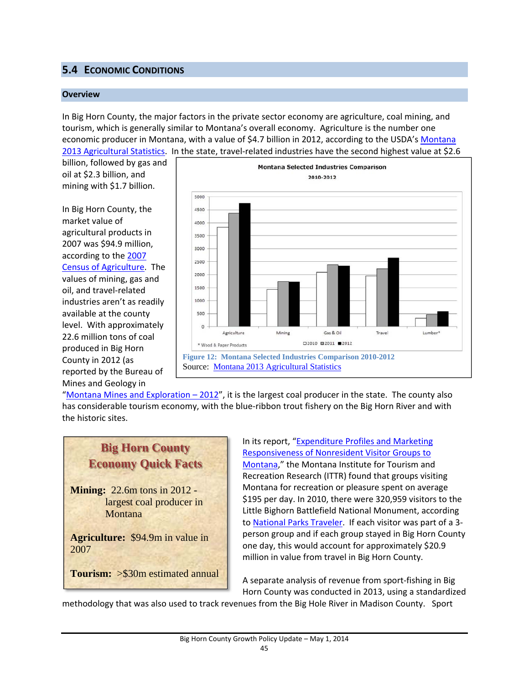# **5.4 ECONOMIC CONDITIONS**

#### **Overview**

In Big Horn County, the major factors in the private sector economy are agriculture, coal mining, and tourism, which is generally similar to Montana's overall economy. Agriculture is the number one economic producer in Montana, with a value of \$4.7 billion in 2012, according to the USDA's Montana 2013 Agricultural Statistics. In the state, travel‐related industries have the second highest value at \$2.6

billion, followed by gas and oil at \$2.3 billion, and mining with \$1.7 billion.

In Big Horn County, the market value of agricultural products in 2007 was \$94.9 million, according to the 2007 Census of Agriculture. The values of mining, gas and oil, and travel‐related industries aren't as readily available at the county level. With approximately 22.6 million tons of coal produced in Big Horn County in 2012 (as reported by the Bureau of Mines and Geology in



"Montana Mines and Exploration  $-2012$ ", it is the largest coal producer in the state. The county also has considerable tourism economy, with the blue-ribbon trout fishery on the Big Horn River and with the historic sites.



In its report, "Expenditure Profiles and Marketing Responsiveness of Nonresident Visitor Groups to Montana," the Montana Institute for Tourism and Recreation Research (ITTR) found that groups visiting Montana for recreation or pleasure spent on average \$195 per day. In 2010, there were 320,959 visitors to the Little Bighorn Battlefield National Monument, according to National Parks Traveler. If each visitor was part of a 3‐ person group and if each group stayed in Big Horn County one day, this would account for approximately \$20.9 million in value from travel in Big Horn County.

A separate analysis of revenue from sport‐fishing in Big Horn County was conducted in 2013, using a standardized

methodology that was also used to track revenues from the Big Hole River in Madison County. Sport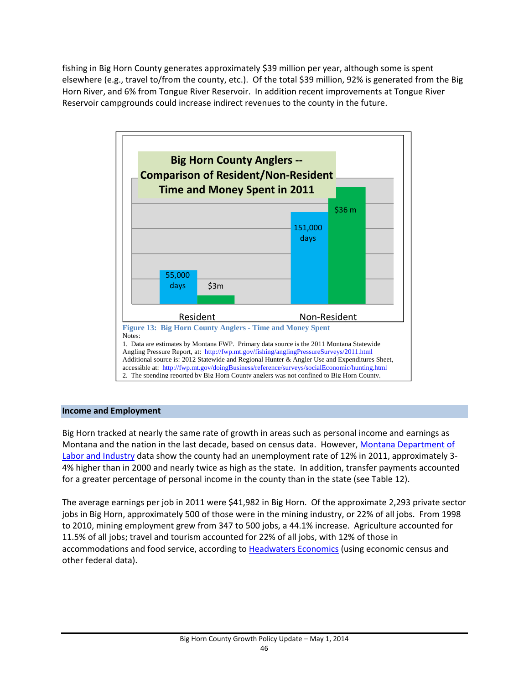fishing in Big Horn County generates approximately \$39 million per year, although some is spent elsewhere (e.g., travel to/from the county, etc.). Of the total \$39 million, 92% is generated from the Big Horn River, and 6% from Tongue River Reservoir. In addition recent improvements at Tongue River Reservoir campgrounds could increase indirect revenues to the county in the future.



## **Income and Employment**

Big Horn tracked at nearly the same rate of growth in areas such as personal income and earnings as Montana and the nation in the last decade, based on census data. However, Montana Department of Labor and Industry data show the county had an unemployment rate of 12% in 2011, approximately 3-4% higher than in 2000 and nearly twice as high as the state. In addition, transfer payments accounted for a greater percentage of personal income in the county than in the state (see Table 12).

The average earnings per job in 2011 were \$41,982 in Big Horn. Of the approximate 2,293 private sector jobs in Big Horn, approximately 500 of those were in the mining industry, or 22% of all jobs. From 1998 to 2010, mining employment grew from 347 to 500 jobs, a 44.1% increase. Agriculture accounted for 11.5% of all jobs; travel and tourism accounted for 22% of all jobs, with 12% of those in accommodations and food service, according to Headwaters Economics (using economic census and other federal data).